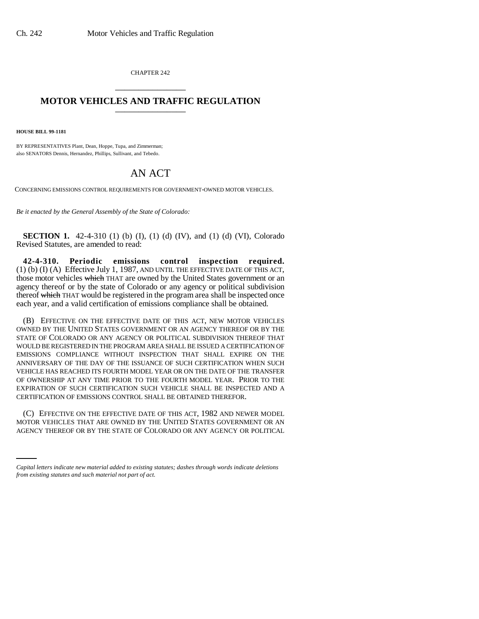CHAPTER 242 \_\_\_\_\_\_\_\_\_\_\_\_\_\_\_

## **MOTOR VEHICLES AND TRAFFIC REGULATION** \_\_\_\_\_\_\_\_\_\_\_\_\_\_\_

**HOUSE BILL 99-1181**

BY REPRESENTATIVES Plant, Dean, Hoppe, Tupa, and Zimmerman; also SENATORS Dennis, Hernandez, Phillips, Sullivant, and Tebedo.

## AN ACT

CONCERNING EMISSIONS CONTROL REQUIREMENTS FOR GOVERNMENT-OWNED MOTOR VEHICLES.

*Be it enacted by the General Assembly of the State of Colorado:*

**SECTION 1.** 42-4-310 (1) (b) (I), (1) (d) (IV), and (1) (d) (VI), Colorado Revised Statutes, are amended to read:

**42-4-310. Periodic emissions control inspection required.** (1) (b) (I) (A) Effective July 1, 1987, AND UNTIL THE EFFECTIVE DATE OF THIS ACT, those motor vehicles which THAT are owned by the United States government or an agency thereof or by the state of Colorado or any agency or political subdivision thereof which THAT would be registered in the program area shall be inspected once each year, and a valid certification of emissions compliance shall be obtained.

(B) EFFECTIVE ON THE EFFECTIVE DATE OF THIS ACT, NEW MOTOR VEHICLES OWNED BY THE UNITED STATES GOVERNMENT OR AN AGENCY THEREOF OR BY THE STATE OF COLORADO OR ANY AGENCY OR POLITICAL SUBDIVISION THEREOF THAT WOULD BE REGISTERED IN THE PROGRAM AREA SHALL BE ISSUED A CERTIFICATION OF EMISSIONS COMPLIANCE WITHOUT INSPECTION THAT SHALL EXPIRE ON THE ANNIVERSARY OF THE DAY OF THE ISSUANCE OF SUCH CERTIFICATION WHEN SUCH VEHICLE HAS REACHED ITS FOURTH MODEL YEAR OR ON THE DATE OF THE TRANSFER OF OWNERSHIP AT ANY TIME PRIOR TO THE FOURTH MODEL YEAR. PRIOR TO THE EXPIRATION OF SUCH CERTIFICATION SUCH VEHICLE SHALL BE INSPECTED AND A CERTIFICATION OF EMISSIONS CONTROL SHALL BE OBTAINED THEREFOR.

(C) EFFECTIVE ON THE EFFECTIVE DATE OF THIS ACT, 1982 AND NEWER MODEL<br>MOTOR VEHICLES THAT ARE OWNED BY THE UNITED STATES GOVERNMENT OR AN (C) EFFECTIVE ON THE EFFECTIVE DATE OF THIS ACT, 1982 AND NEWER MODEL AGENCY THEREOF OR BY THE STATE OF COLORADO OR ANY AGENCY OR POLITICAL

*Capital letters indicate new material added to existing statutes; dashes through words indicate deletions from existing statutes and such material not part of act.*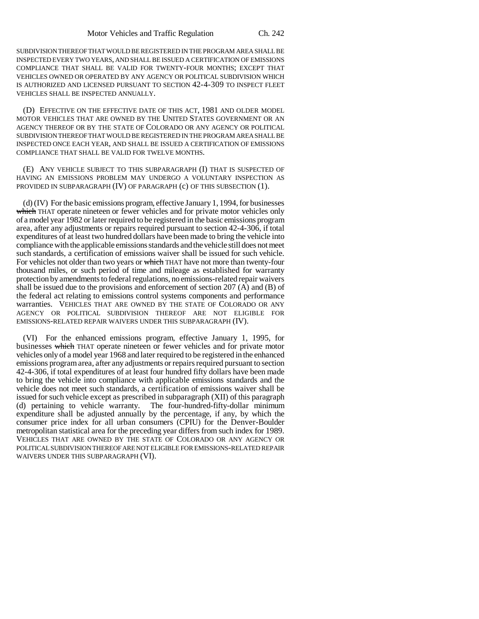SUBDIVISION THEREOF THAT WOULD BE REGISTERED IN THE PROGRAM AREA SHALL BE INSPECTED EVERY TWO YEARS, AND SHALL BE ISSUED A CERTIFICATION OF EMISSIONS COMPLIANCE THAT SHALL BE VALID FOR TWENTY-FOUR MONTHS; EXCEPT THAT VEHICLES OWNED OR OPERATED BY ANY AGENCY OR POLITICAL SUBDIVISION WHICH IS AUTHORIZED AND LICENSED PURSUANT TO SECTION 42-4-309 TO INSPECT FLEET VEHICLES SHALL BE INSPECTED ANNUALLY.

(D) EFFECTIVE ON THE EFFECTIVE DATE OF THIS ACT, 1981 AND OLDER MODEL MOTOR VEHICLES THAT ARE OWNED BY THE UNITED STATES GOVERNMENT OR AN AGENCY THEREOF OR BY THE STATE OF COLORADO OR ANY AGENCY OR POLITICAL SUBDIVISION THEREOF THAT WOULD BE REGISTERED IN THE PROGRAM AREA SHALL BE INSPECTED ONCE EACH YEAR, AND SHALL BE ISSUED A CERTIFICATION OF EMISSIONS COMPLIANCE THAT SHALL BE VALID FOR TWELVE MONTHS.

(E) ANY VEHICLE SUBJECT TO THIS SUBPARAGRAPH (I) THAT IS SUSPECTED OF HAVING AN EMISSIONS PROBLEM MAY UNDERGO A VOLUNTARY INSPECTION AS PROVIDED IN SUBPARAGRAPH (IV) OF PARAGRAPH (c) OF THIS SUBSECTION (1).

(d) (IV) For the basic emissions program, effective January 1, 1994, for businesses which THAT operate nineteen or fewer vehicles and for private motor vehicles only of a model year 1982 or later required to be registered in the basic emissions program area, after any adjustments or repairs required pursuant to section 42-4-306, if total expenditures of at least two hundred dollars have been made to bring the vehicle into compliance with the applicable emissions standards and the vehicle still does not meet such standards, a certification of emissions waiver shall be issued for such vehicle. For vehicles not older than two years or which THAT have not more than twenty-four thousand miles, or such period of time and mileage as established for warranty protection by amendments to federal regulations, no emissions-related repair waivers shall be issued due to the provisions and enforcement of section  $207$  (A) and (B) of the federal act relating to emissions control systems components and performance warranties. VEHICLES THAT ARE OWNED BY THE STATE OF COLORADO OR ANY AGENCY OR POLITICAL SUBDIVISION THEREOF ARE NOT ELIGIBLE FOR EMISSIONS-RELATED REPAIR WAIVERS UNDER THIS SUBPARAGRAPH (IV).

(VI) For the enhanced emissions program, effective January 1, 1995, for businesses which THAT operate nineteen or fewer vehicles and for private motor vehicles only of a model year 1968 and later required to be registered in the enhanced emissions program area, after any adjustments or repairs required pursuant to section 42-4-306, if total expenditures of at least four hundred fifty dollars have been made to bring the vehicle into compliance with applicable emissions standards and the vehicle does not meet such standards, a certification of emissions waiver shall be issued for such vehicle except as prescribed in subparagraph (XII) of this paragraph (d) pertaining to vehicle warranty. The four-hundred-fifty-dollar minimum expenditure shall be adjusted annually by the percentage, if any, by which the consumer price index for all urban consumers (CPIU) for the Denver-Boulder metropolitan statistical area for the preceding year differs from such index for 1989. VEHICLES THAT ARE OWNED BY THE STATE OF COLORADO OR ANY AGENCY OR POLITICAL SUBDIVISION THEREOF ARE NOT ELIGIBLE FOR EMISSIONS-RELATED REPAIR WAIVERS UNDER THIS SUBPARAGRAPH (VI).